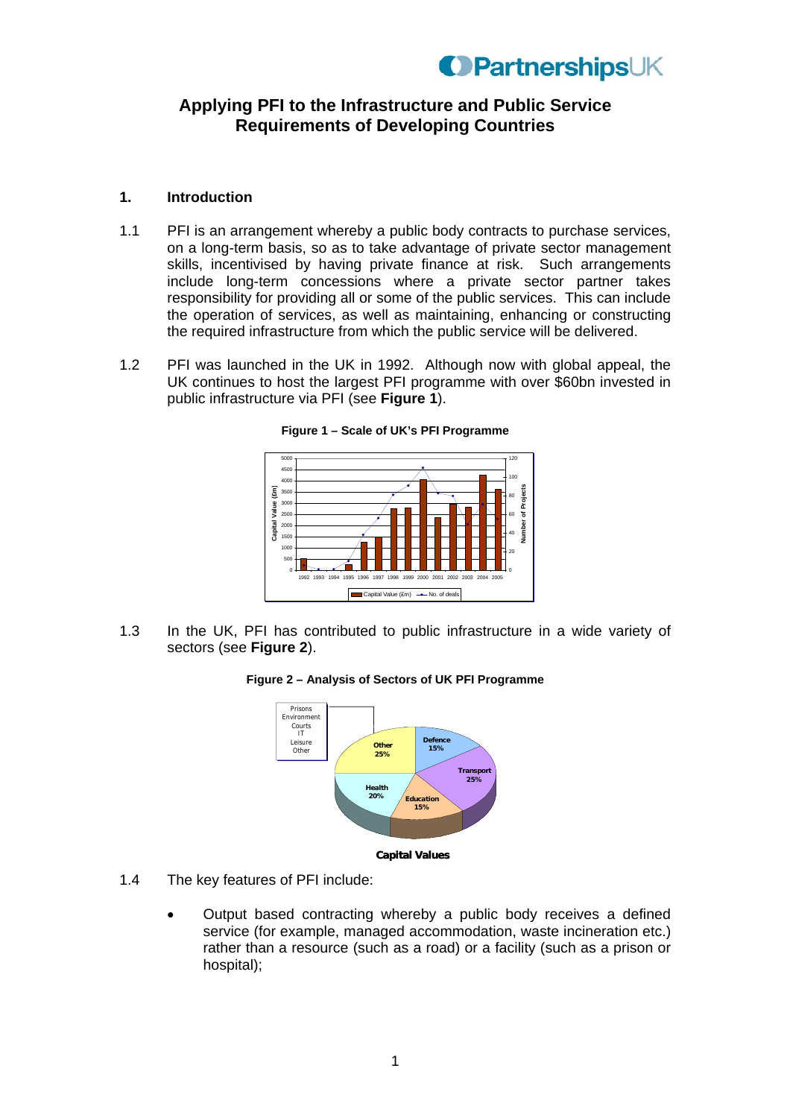### **Applying PFI to the Infrastructure and Public Service Requirements of Developing Countries**

### **1. Introduction**

- 1.1 PFI is an arrangement whereby a public body contracts to purchase services, on a long-term basis, so as to take advantage of private sector management skills, incentivised by having private finance at risk. Such arrangements include long-term concessions where a private sector partner takes responsibility for providing all or some of the public services. This can include the operation of services, as well as maintaining, enhancing or constructing the required infrastructure from which the public service will be delivered.
- 1.2 PFI was launched in the UK in 1992. Although now with global appeal, the UK continues to host the largest PFI programme with over \$60bn invested in public infrastructure via PFI (see **Figure 1**).





1.3 In the UK, PFI has contributed to public infrastructure in a wide variety of sectors (see **Figure 2**).

#### **Figure 2 – Analysis of Sectors of UK PFI Programme**



- 1.4 The key features of PFI include:
	- Output based contracting whereby a public body receives a defined service (for example, managed accommodation, waste incineration etc.) rather than a resource (such as a road) or a facility (such as a prison or hospital);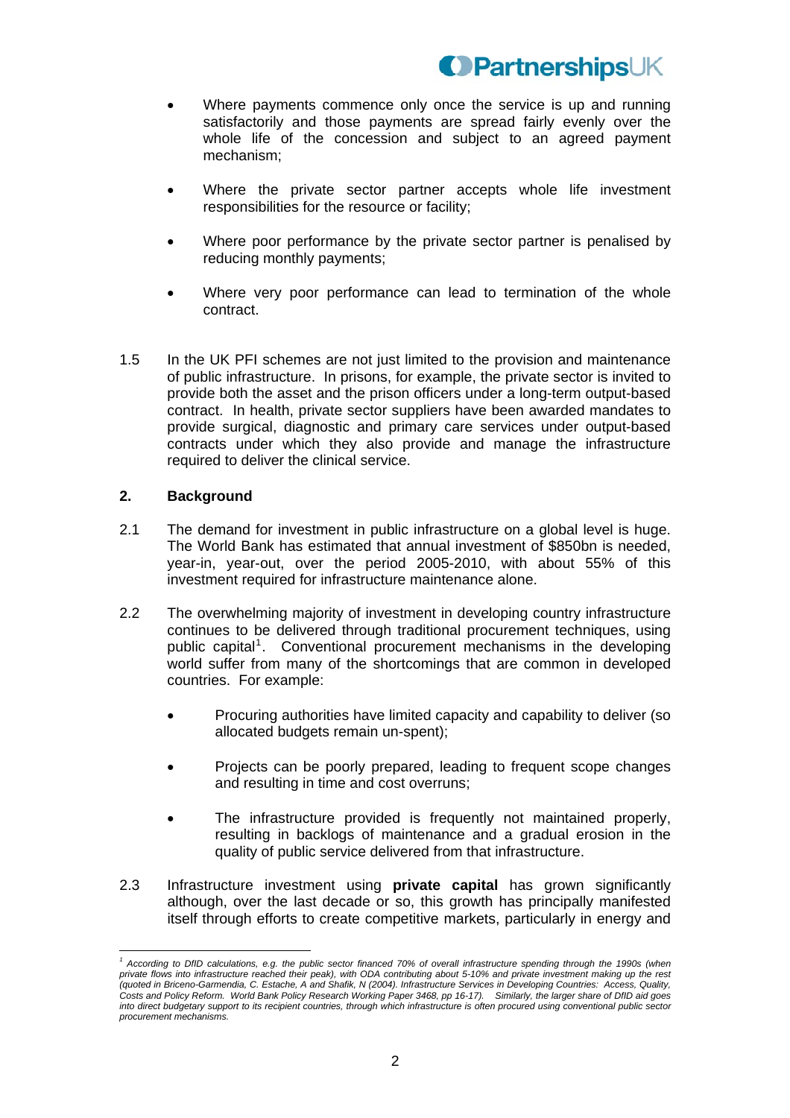- Where payments commence only once the service is up and running satisfactorily and those payments are spread fairly evenly over the whole life of the concession and subject to an agreed payment mechanism;
- Where the private sector partner accepts whole life investment responsibilities for the resource or facility;
- Where poor performance by the private sector partner is penalised by reducing monthly payments;
- Where very poor performance can lead to termination of the whole contract.
- 1.5 In the UK PFI schemes are not just limited to the provision and maintenance of public infrastructure. In prisons, for example, the private sector is invited to provide both the asset and the prison officers under a long-term output-based contract. In health, private sector suppliers have been awarded mandates to provide surgical, diagnostic and primary care services under output-based contracts under which they also provide and manage the infrastructure required to deliver the clinical service.

### **2. Background**

- 2.1 The demand for investment in public infrastructure on a global level is huge. The World Bank has estimated that annual investment of \$850bn is needed, year-in, year-out, over the period 2005-2010, with about 55% of this investment required for infrastructure maintenance alone.
- 2.2 The overwhelming majority of investment in developing country infrastructure continues to be delivered through traditional procurement techniques, using public capital<sup>[1](#page-1-0)</sup>. Conventional procurement mechanisms in the developing world suffer from many of the shortcomings that are common in developed countries. For example:
	- Procuring authorities have limited capacity and capability to deliver (so allocated budgets remain un-spent);
	- Projects can be poorly prepared, leading to frequent scope changes and resulting in time and cost overruns;
	- The infrastructure provided is frequently not maintained properly, resulting in backlogs of maintenance and a gradual erosion in the quality of public service delivered from that infrastructure.
- 2.3 Infrastructure investment using **private capital** has grown significantly although, over the last decade or so, this growth has principally manifested itself through efforts to create competitive markets, particularly in energy and

<span id="page-1-0"></span> $\overline{a}$ *1 According to DfID calculations, e.g. the public sector financed 70% of overall infrastructure spending through the 1990s (when private flows into infrastructure reached their peak), with ODA contributing about 5-10% and private investment making up the rest (quoted in Briceno-Garmendia, C. Estache, A and Shafik, N (2004). Infrastructure Services in Developing Countries: Access, Quality, Costs and Policy Reform. World Bank Policy Research Working Paper 3468, pp 16-17). Similarly, the larger share of DfID aid goes into direct budgetary support to its recipient countries, through which infrastructure is often procured using conventional public sector procurement mechanisms.*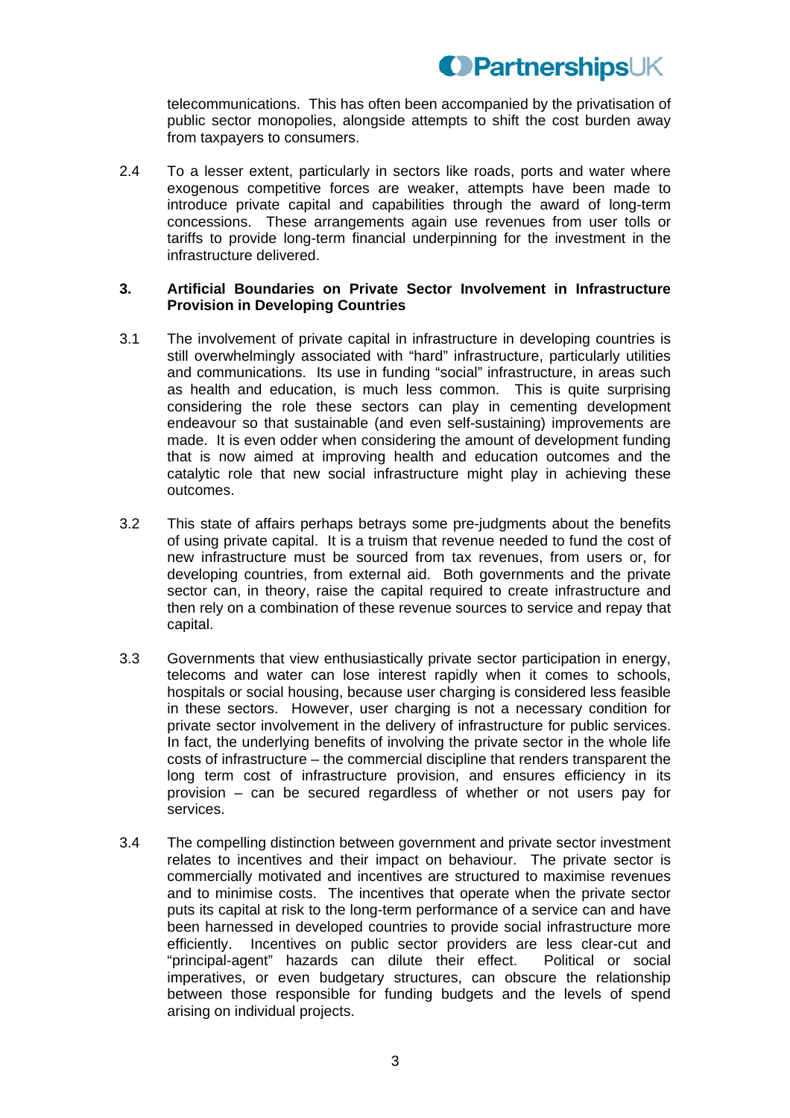telecommunications. This has often been accompanied by the privatisation of public sector monopolies, alongside attempts to shift the cost burden away from taxpayers to consumers.

2.4 To a lesser extent, particularly in sectors like roads, ports and water where exogenous competitive forces are weaker, attempts have been made to introduce private capital and capabilities through the award of long-term concessions. These arrangements again use revenues from user tolls or tariffs to provide long-term financial underpinning for the investment in the infrastructure delivered.

### **3. Artificial Boundaries on Private Sector Involvement in Infrastructure Provision in Developing Countries**

- 3.1 The involvement of private capital in infrastructure in developing countries is still overwhelmingly associated with "hard" infrastructure, particularly utilities and communications. Its use in funding "social" infrastructure, in areas such as health and education, is much less common. This is quite surprising considering the role these sectors can play in cementing development endeavour so that sustainable (and even self-sustaining) improvements are made. It is even odder when considering the amount of development funding that is now aimed at improving health and education outcomes and the catalytic role that new social infrastructure might play in achieving these outcomes.
- 3.2 This state of affairs perhaps betrays some pre-judgments about the benefits of using private capital. It is a truism that revenue needed to fund the cost of new infrastructure must be sourced from tax revenues, from users or, for developing countries, from external aid. Both governments and the private sector can, in theory, raise the capital required to create infrastructure and then rely on a combination of these revenue sources to service and repay that capital.
- 3.3 Governments that view enthusiastically private sector participation in energy, telecoms and water can lose interest rapidly when it comes to schools, hospitals or social housing, because user charging is considered less feasible in these sectors. However, user charging is not a necessary condition for private sector involvement in the delivery of infrastructure for public services. In fact, the underlying benefits of involving the private sector in the whole life costs of infrastructure – the commercial discipline that renders transparent the long term cost of infrastructure provision, and ensures efficiency in its provision – can be secured regardless of whether or not users pay for services.
- 3.4 The compelling distinction between government and private sector investment relates to incentives and their impact on behaviour. The private sector is commercially motivated and incentives are structured to maximise revenues and to minimise costs. The incentives that operate when the private sector puts its capital at risk to the long-term performance of a service can and have been harnessed in developed countries to provide social infrastructure more efficiently. Incentives on public sector providers are less clear-cut and "principal-agent" hazards can dilute their effect. Political or social imperatives, or even budgetary structures, can obscure the relationship between those responsible for funding budgets and the levels of spend arising on individual projects.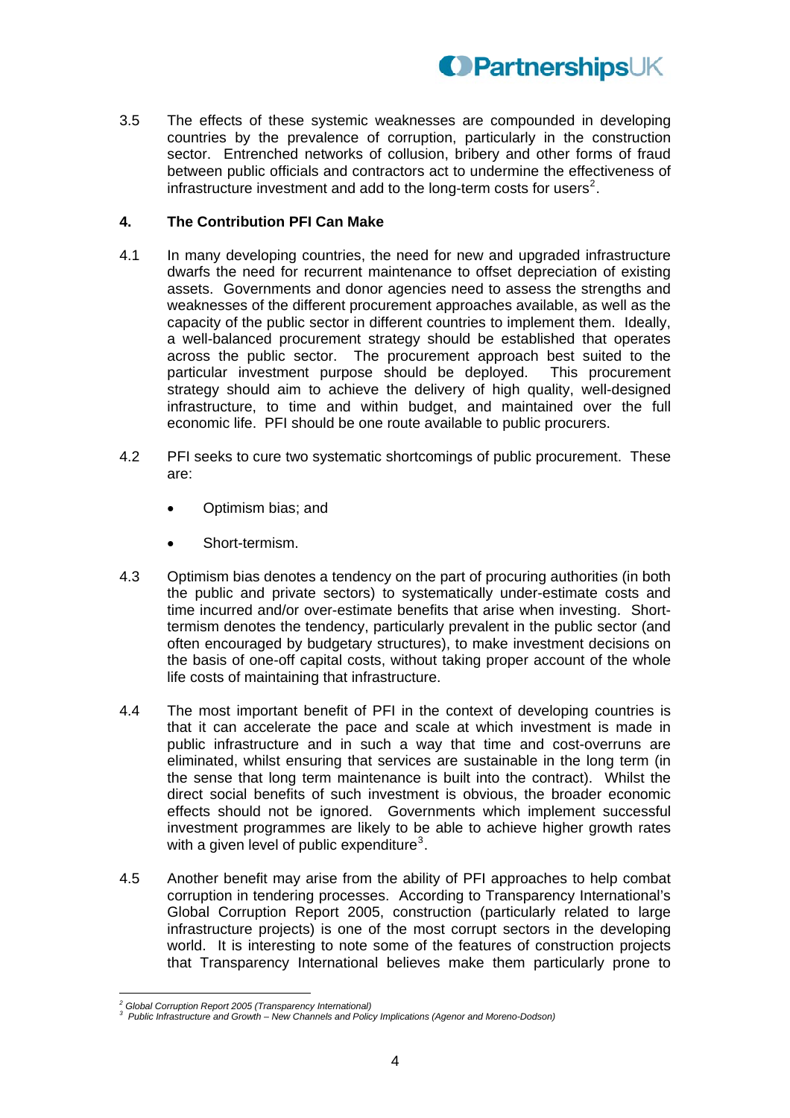

3.5 The effects of these systemic weaknesses are compounded in developing countries by the prevalence of corruption, particularly in the construction sector. Entrenched networks of collusion, bribery and other forms of fraud between public officials and contractors act to undermine the effectiveness of infrastructure investment and add to the long-term costs for users<sup>[2](#page-3-0)</sup>.

### **4. The Contribution PFI Can Make**

- 4.1 In many developing countries, the need for new and upgraded infrastructure dwarfs the need for recurrent maintenance to offset depreciation of existing assets. Governments and donor agencies need to assess the strengths and weaknesses of the different procurement approaches available, as well as the capacity of the public sector in different countries to implement them. Ideally, a well-balanced procurement strategy should be established that operates across the public sector. The procurement approach best suited to the particular investment purpose should be deployed. This procurement strategy should aim to achieve the delivery of high quality, well-designed infrastructure, to time and within budget, and maintained over the full economic life. PFI should be one route available to public procurers.
- 4.2 PFI seeks to cure two systematic shortcomings of public procurement. These are:
	- Optimism bias; and
	- Short-termism.
- 4.3 Optimism bias denotes a tendency on the part of procuring authorities (in both the public and private sectors) to systematically under-estimate costs and time incurred and/or over-estimate benefits that arise when investing. Shorttermism denotes the tendency, particularly prevalent in the public sector (and often encouraged by budgetary structures), to make investment decisions on the basis of one-off capital costs, without taking proper account of the whole life costs of maintaining that infrastructure.
- 4.4 The most important benefit of PFI in the context of developing countries is that it can accelerate the pace and scale at which investment is made in public infrastructure and in such a way that time and cost-overruns are eliminated, whilst ensuring that services are sustainable in the long term (in the sense that long term maintenance is built into the contract). Whilst the direct social benefits of such investment is obvious, the broader economic effects should not be ignored. Governments which implement successful investment programmes are likely to be able to achieve higher growth rates with a given level of public expenditure<sup>[3](#page-3-1)</sup>.
- 4.5 Another benefit may arise from the ability of PFI approaches to help combat corruption in tendering processes. According to Transparency International's Global Corruption Report 2005, construction (particularly related to large infrastructure projects) is one of the most corrupt sectors in the developing world. It is interesting to note some of the features of construction projects that Transparency International believes make them particularly prone to

 *2 Global Corruption Report 2005 (Transparency International)* 

<span id="page-3-1"></span><span id="page-3-0"></span><sup>&</sup>lt;sup>3</sup> Public Infrastructure and Growth – New Channels and Policy Implications (Agenor and Moreno-Dodson)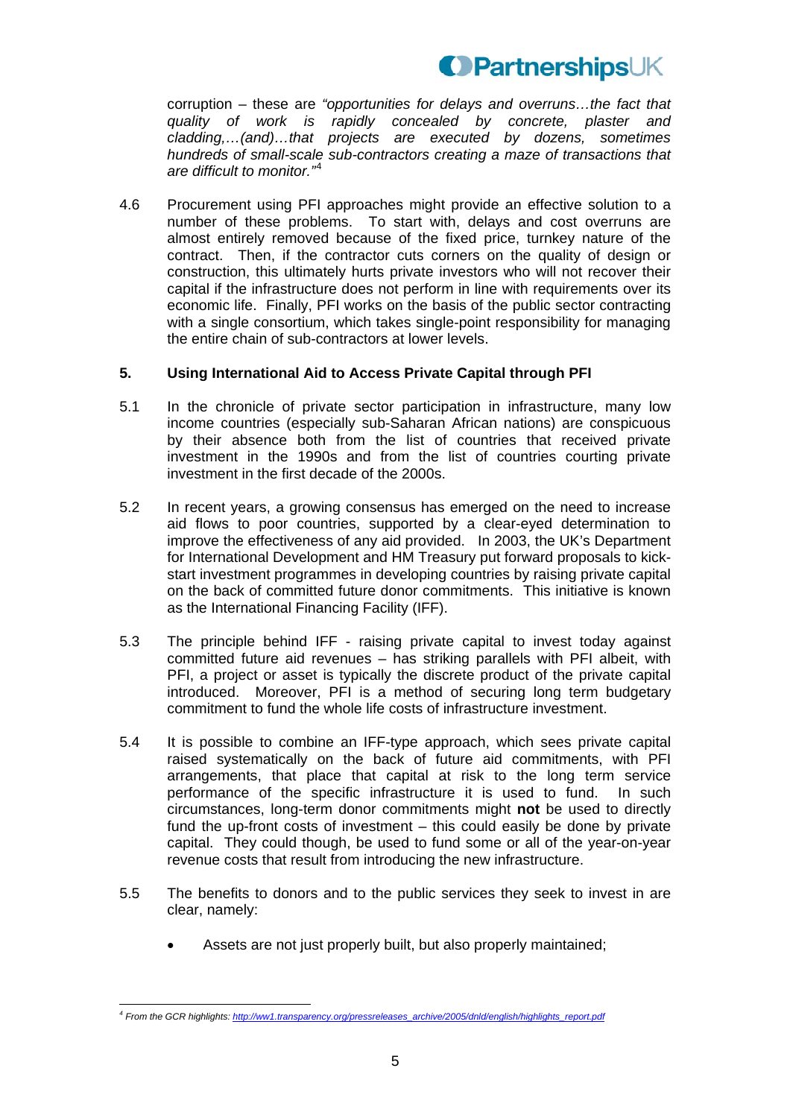

corruption – these are *"opportunities for delays and overruns…the fact that quality of work is rapidly concealed by concrete, plaster and cladding,…(and)…that projects are executed by dozens, sometimes hundreds of small-scale sub-contractors creating a maze of transactions that are difficult to monitor."*<sup>4</sup>

4.6 Procurement using PFI approaches might provide an effective solution to a number of these problems. To start with, delays and cost overruns are almost entirely removed because of the fixed price, turnkey nature of the contract. Then, if the contractor cuts corners on the quality of design or construction, this ultimately hurts private investors who will not recover their capital if the infrastructure does not perform in line with requirements over its economic life. Finally, PFI works on the basis of the public sector contracting with a single consortium, which takes single-point responsibility for managing the entire chain of sub-contractors at lower levels.

### **5. Using International Aid to Access Private Capital through PFI**

- 5.1 In the chronicle of private sector participation in infrastructure, many low income countries (especially sub-Saharan African nations) are conspicuous by their absence both from the list of countries that received private investment in the 1990s and from the list of countries courting private investment in the first decade of the 2000s.
- 5.2 In recent years, a growing consensus has emerged on the need to increase aid flows to poor countries, supported by a clear-eyed determination to improve the effectiveness of any aid provided. In 2003, the UK's Department for International Development and HM Treasury put forward proposals to kickstart investment programmes in developing countries by raising private capital on the back of committed future donor commitments. This initiative is known as the International Financing Facility (IFF).
- 5.3 The principle behind IFF raising private capital to invest today against committed future aid revenues – has striking parallels with PFI albeit, with PFI, a project or asset is typically the discrete product of the private capital introduced. Moreover, PFI is a method of securing long term budgetary commitment to fund the whole life costs of infrastructure investment.
- 5.4 It is possible to combine an IFF-type approach, which sees private capital raised systematically on the back of future aid commitments, with PFI arrangements, that place that capital at risk to the long term service performance of the specific infrastructure it is used to fund. In such circumstances, long-term donor commitments might **not** be used to directly fund the up-front costs of investment – this could easily be done by private capital. They could though, be used to fund some or all of the year-on-year revenue costs that result from introducing the new infrastructure.
- 5.5 The benefits to donors and to the public services they seek to invest in are clear, namely:
	- Assets are not just properly built, but also properly maintained;

 $\overline{a}$ *4 From the GCR highlights: [http://ww1.transparency.org/pressreleases\\_archive/2005/dnld/english/highlights\\_report.pdf](http://ww1.transparency.org/pressreleases_archive/2005/dnld/english/highlights_report.pdf)*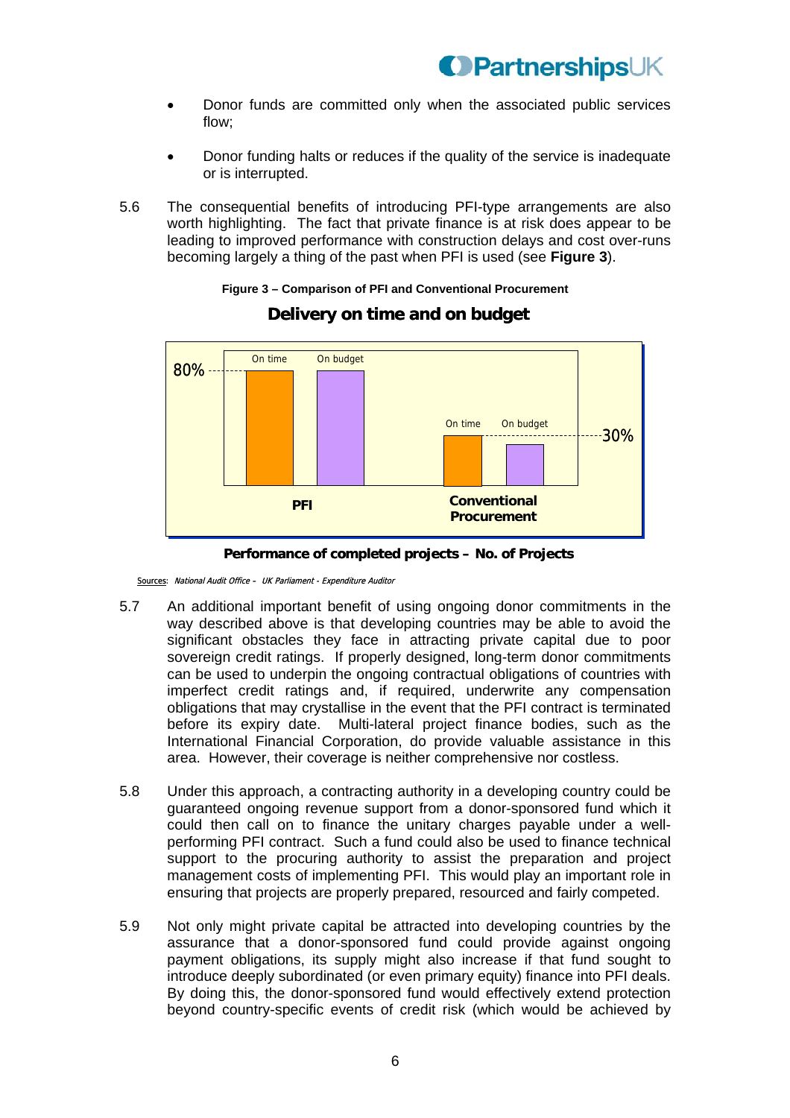- Donor funds are committed only when the associated public services flow;
- Donor funding halts or reduces if the quality of the service is inadequate or is interrupted.
- 5.6 The consequential benefits of introducing PFI-type arrangements are also worth highlighting. The fact that private finance is at risk does appear to be leading to improved performance with construction delays and cost over-runs becoming largely a thing of the past when PFI is used (see **Figure 3**).

# **Figure 3 – Comparison of PFI and Conventional Procurement**



### **Delivery on time and on budget**



Sources: National Audit Office – UK Parliament - Expenditure Auditor

- 5.7 An additional important benefit of using ongoing donor commitments in the way described above is that developing countries may be able to avoid the significant obstacles they face in attracting private capital due to poor sovereign credit ratings. If properly designed, long-term donor commitments can be used to underpin the ongoing contractual obligations of countries with imperfect credit ratings and, if required, underwrite any compensation obligations that may crystallise in the event that the PFI contract is terminated before its expiry date. Multi-lateral project finance bodies, such as the International Financial Corporation, do provide valuable assistance in this area. However, their coverage is neither comprehensive nor costless.
- 5.8 Under this approach, a contracting authority in a developing country could be guaranteed ongoing revenue support from a donor-sponsored fund which it could then call on to finance the unitary charges payable under a wellperforming PFI contract. Such a fund could also be used to finance technical support to the procuring authority to assist the preparation and project management costs of implementing PFI. This would play an important role in ensuring that projects are properly prepared, resourced and fairly competed.
- 5.9 Not only might private capital be attracted into developing countries by the assurance that a donor-sponsored fund could provide against ongoing payment obligations, its supply might also increase if that fund sought to introduce deeply subordinated (or even primary equity) finance into PFI deals. By doing this, the donor-sponsored fund would effectively extend protection beyond country-specific events of credit risk (which would be achieved by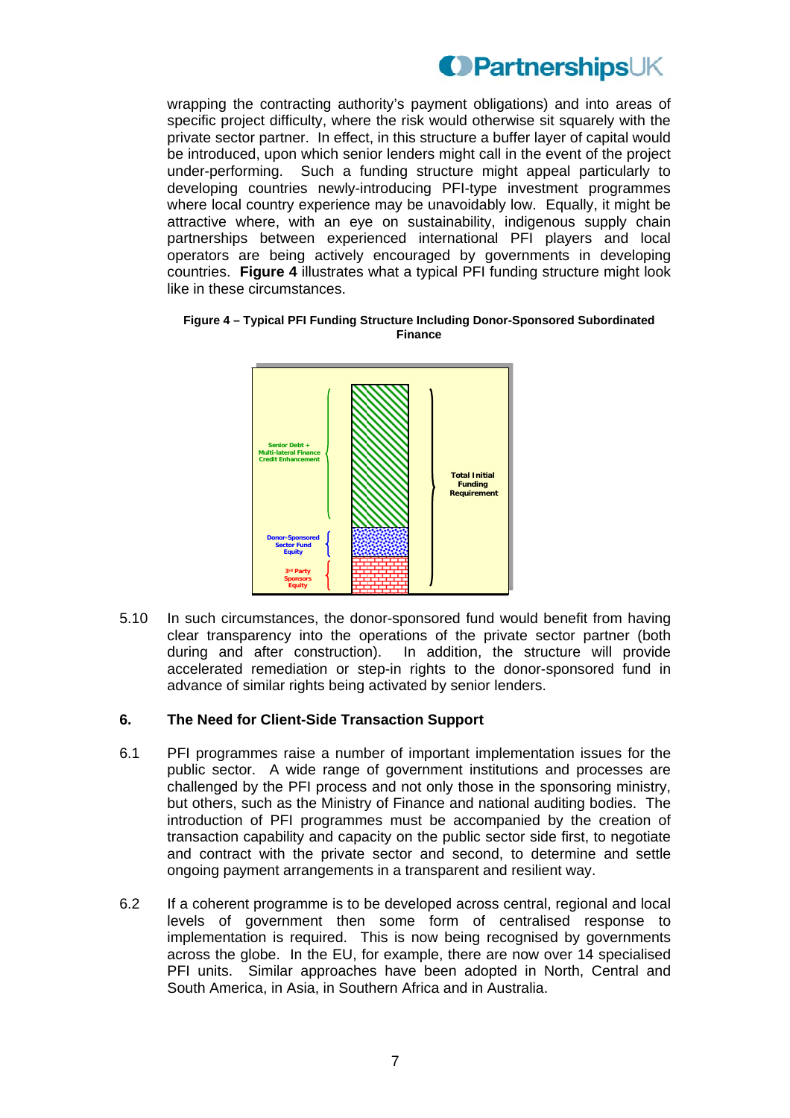wrapping the contracting authority's payment obligations) and into areas of specific project difficulty, where the risk would otherwise sit squarely with the private sector partner. In effect, in this structure a buffer layer of capital would be introduced, upon which senior lenders might call in the event of the project under-performing. Such a funding structure might appeal particularly to developing countries newly-introducing PFI-type investment programmes where local country experience may be unavoidably low. Equally, it might be attractive where, with an eye on sustainability, indigenous supply chain partnerships between experienced international PFI players and local operators are being actively encouraged by governments in developing countries. **Figure 4** illustrates what a typical PFI funding structure might look like in these circumstances.

**Figure 4 – Typical PFI Funding Structure Including Donor-Sponsored Subordinated Finance** 



5.10 In such circumstances, the donor-sponsored fund would benefit from having clear transparency into the operations of the private sector partner (both during and after construction). In addition, the structure will provide accelerated remediation or step-in rights to the donor-sponsored fund in advance of similar rights being activated by senior lenders.

### **6. The Need for Client-Side Transaction Support**

- 6.1 PFI programmes raise a number of important implementation issues for the public sector. A wide range of government institutions and processes are challenged by the PFI process and not only those in the sponsoring ministry, but others, such as the Ministry of Finance and national auditing bodies. The introduction of PFI programmes must be accompanied by the creation of transaction capability and capacity on the public sector side first, to negotiate and contract with the private sector and second, to determine and settle ongoing payment arrangements in a transparent and resilient way.
- 6.2 If a coherent programme is to be developed across central, regional and local levels of government then some form of centralised response to implementation is required. This is now being recognised by governments across the globe. In the EU, for example, there are now over 14 specialised PFI units. Similar approaches have been adopted in North, Central and South America, in Asia, in Southern Africa and in Australia.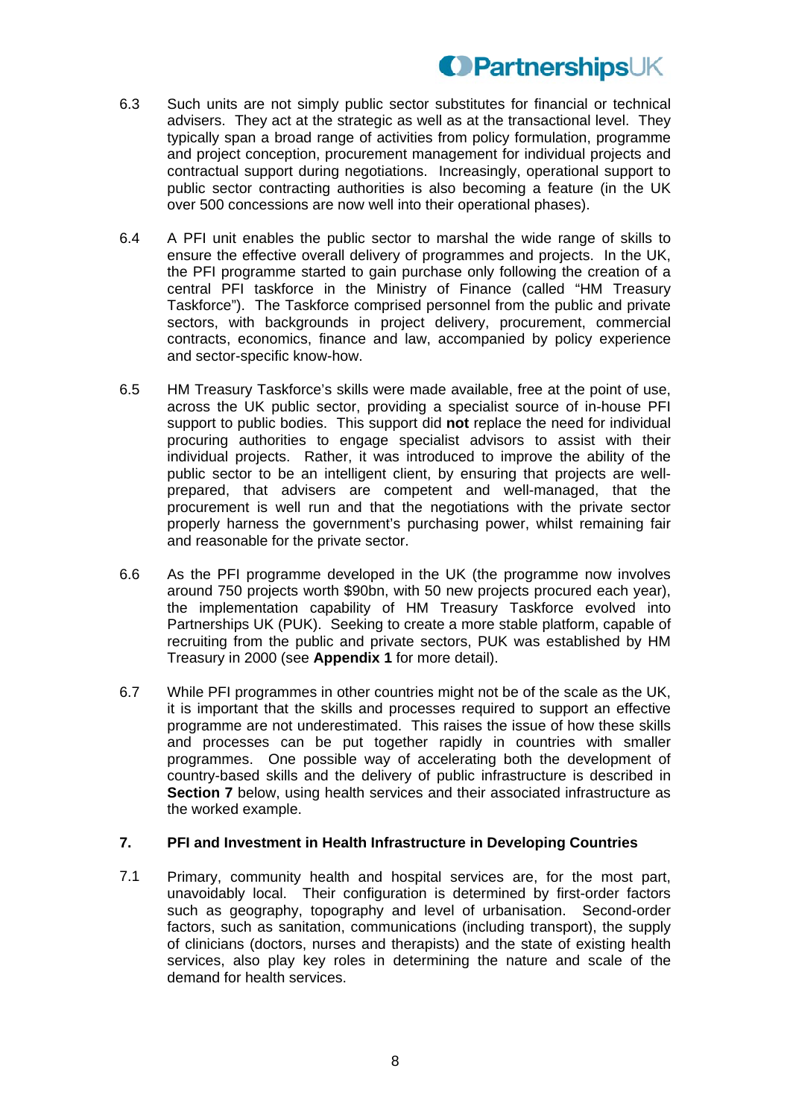- 6.3 Such units are not simply public sector substitutes for financial or technical advisers. They act at the strategic as well as at the transactional level. They typically span a broad range of activities from policy formulation, programme and project conception, procurement management for individual projects and contractual support during negotiations. Increasingly, operational support to public sector contracting authorities is also becoming a feature (in the UK over 500 concessions are now well into their operational phases).
- 6.4 A PFI unit enables the public sector to marshal the wide range of skills to ensure the effective overall delivery of programmes and projects. In the UK, the PFI programme started to gain purchase only following the creation of a central PFI taskforce in the Ministry of Finance (called "HM Treasury Taskforce"). The Taskforce comprised personnel from the public and private sectors, with backgrounds in project delivery, procurement, commercial contracts, economics, finance and law, accompanied by policy experience and sector-specific know-how.
- 6.5 HM Treasury Taskforce's skills were made available, free at the point of use, across the UK public sector, providing a specialist source of in-house PFI support to public bodies. This support did **not** replace the need for individual procuring authorities to engage specialist advisors to assist with their individual projects. Rather, it was introduced to improve the ability of the public sector to be an intelligent client, by ensuring that projects are wellprepared, that advisers are competent and well-managed, that the procurement is well run and that the negotiations with the private sector properly harness the government's purchasing power, whilst remaining fair and reasonable for the private sector.
- 6.6 As the PFI programme developed in the UK (the programme now involves around 750 projects worth \$90bn, with 50 new projects procured each year), the implementation capability of HM Treasury Taskforce evolved into Partnerships UK (PUK). Seeking to create a more stable platform, capable of recruiting from the public and private sectors, PUK was established by HM Treasury in 2000 (see **Appendix 1** for more detail).
- 6.7 While PFI programmes in other countries might not be of the scale as the UK, it is important that the skills and processes required to support an effective programme are not underestimated. This raises the issue of how these skills and processes can be put together rapidly in countries with smaller programmes. One possible way of accelerating both the development of country-based skills and the delivery of public infrastructure is described in **Section 7** below, using health services and their associated infrastructure as the worked example.

### **7. PFI and Investment in Health Infrastructure in Developing Countries**

7.1 Primary, community health and hospital services are, for the most part, unavoidably local. Their configuration is determined by first-order factors such as geography, topography and level of urbanisation. Second-order factors, such as sanitation, communications (including transport), the supply of clinicians (doctors, nurses and therapists) and the state of existing health services, also play key roles in determining the nature and scale of the demand for health services.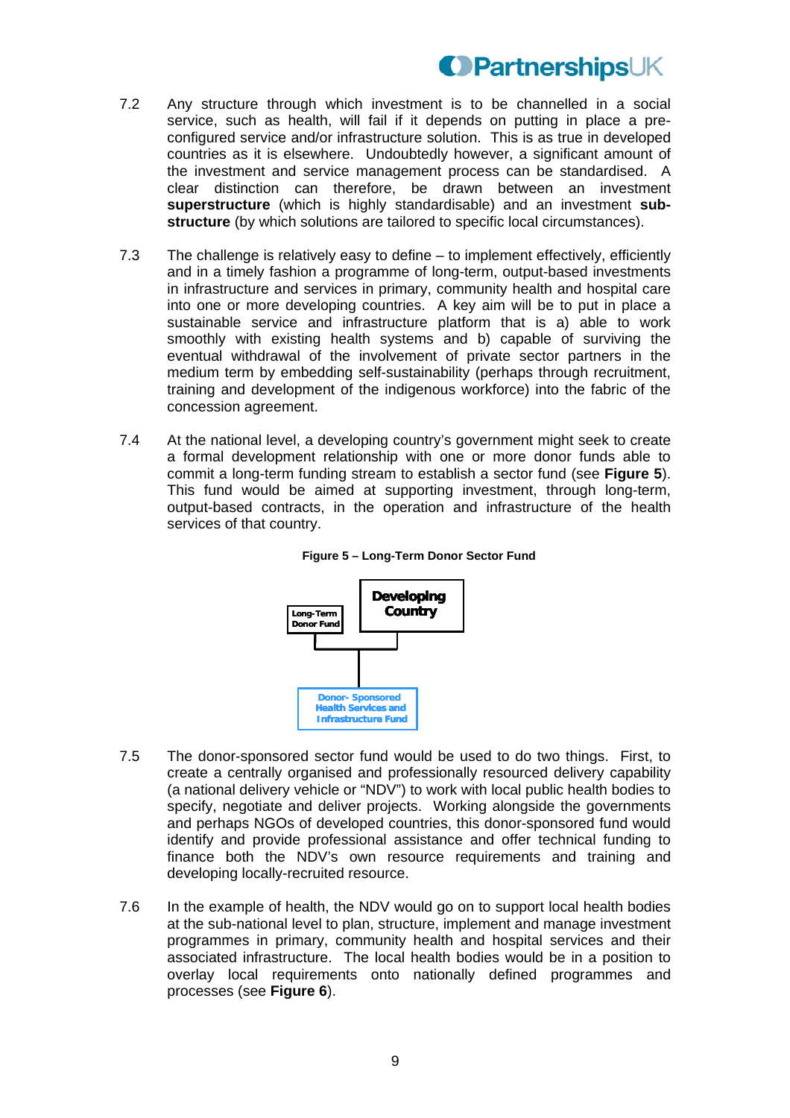- 7.2 Any structure through which investment is to be channelled in a social service, such as health, will fail if it depends on putting in place a preconfigured service and/or infrastructure solution. This is as true in developed countries as it is elsewhere. Undoubtedly however, a significant amount of the investment and service management process can be standardised. A clear distinction can therefore, be drawn between an investment **superstructure** (which is highly standardisable) and an investment **substructure** (by which solutions are tailored to specific local circumstances).
- 7.3 The challenge is relatively easy to define to implement effectively, efficiently and in a timely fashion a programme of long-term, output-based investments in infrastructure and services in primary, community health and hospital care into one or more developing countries. A key aim will be to put in place a sustainable service and infrastructure platform that is a) able to work smoothly with existing health systems and b) capable of surviving the eventual withdrawal of the involvement of private sector partners in the medium term by embedding self-sustainability (perhaps through recruitment, training and development of the indigenous workforce) into the fabric of the concession agreement.
- 7.4 At the national level, a developing country's government might seek to create a formal development relationship with one or more donor funds able to commit a long-term funding stream to establish a sector fund (see **Figure 5**). This fund would be aimed at supporting investment, through long-term, output-based contracts, in the operation and infrastructure of the health services of that country.



**Figure 5 – Long-Term Donor Sector Fund** 

- 7.5 The donor-sponsored sector fund would be used to do two things. First, to create a centrally organised and professionally resourced delivery capability (a national delivery vehicle or "NDV") to work with local public health bodies to specify, negotiate and deliver projects. Working alongside the governments and perhaps NGOs of developed countries, this donor-sponsored fund would identify and provide professional assistance and offer technical funding to finance both the NDV's own resource requirements and training and developing locally-recruited resource.
- 7.6 In the example of health, the NDV would go on to support local health bodies at the sub-national level to plan, structure, implement and manage investment programmes in primary, community health and hospital services and their associated infrastructure. The local health bodies would be in a position to overlay local requirements onto nationally defined programmes and processes (see **Figure 6**).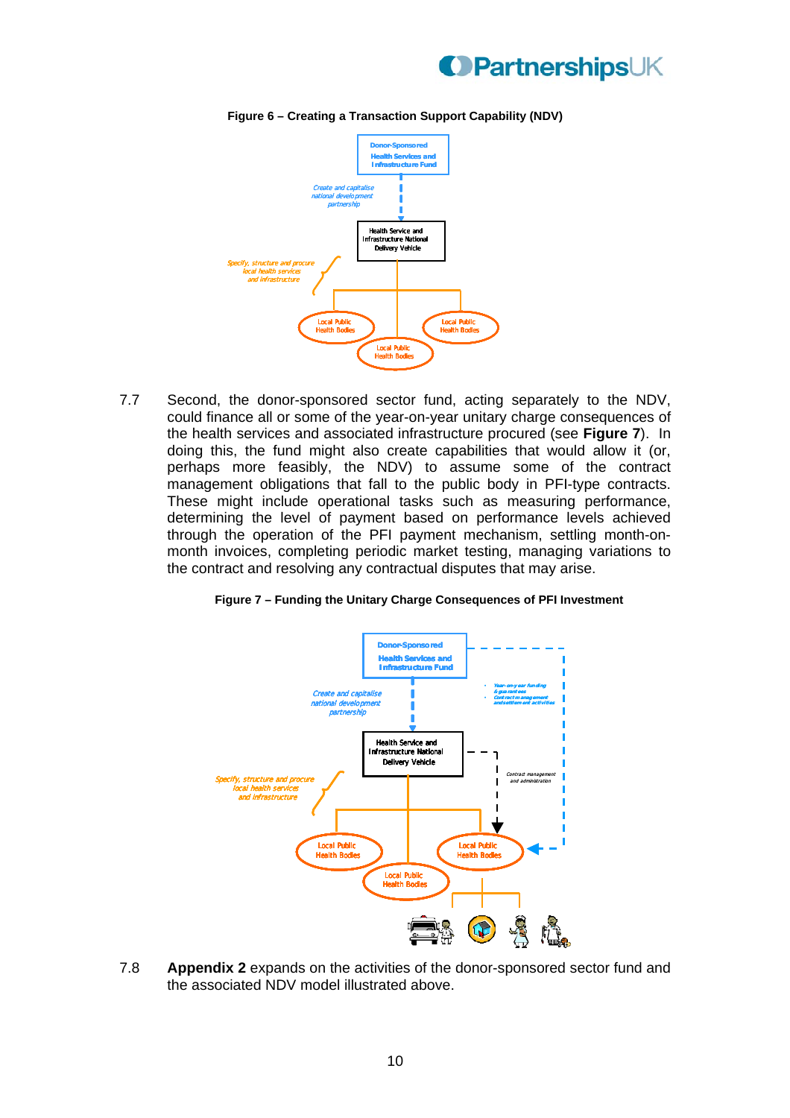



**Figure 6 – Creating a Transaction Support Capability (NDV)** 

7.7 Second, the donor-sponsored sector fund, acting separately to the NDV, could finance all or some of the year-on-year unitary charge consequences of the health services and associated infrastructure procured (see **Figure 7**). In doing this, the fund might also create capabilities that would allow it (or, perhaps more feasibly, the NDV) to assume some of the contract management obligations that fall to the public body in PFI-type contracts. These might include operational tasks such as measuring performance, determining the level of payment based on performance levels achieved through the operation of the PFI payment mechanism, settling month-onmonth invoices, completing periodic market testing, managing variations to the contract and resolving any contractual disputes that may arise.





7.8 **Appendix 2** expands on the activities of the donor-sponsored sector fund and the associated NDV model illustrated above.